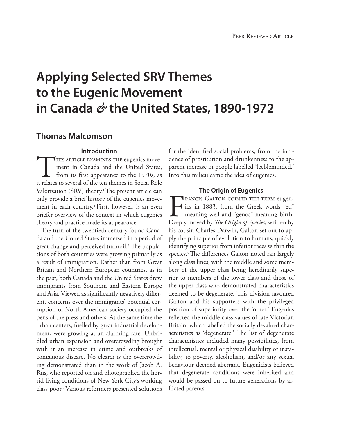# **Applying Selected SRV Themes to the Eugenic Movement in Canada** *&* **the United States, 1890-1972**

### **Thomas Malcomson**

#### **Introduction**

HIS ARTICLE EXAMINES THE eugenics movement in Canada and the United States, from its first appearance to the 1970s, as it relates to several of the ten themes in Social Role ment in Canada and the United States, from its first appearance to the 1970s, as Valorization (SRV) theory.<sup>1</sup> The present article can only provide a brief history of the eugenics movement in each country.<sup>2</sup> First, however, is an even briefer overview of the context in which eugenics theory and practice made its appearance.

The turn of the twentieth century found Canada and the United States immersed in a period of great change and perceived turmoil.<sup>3</sup> The populations of both countries were growing primarily as a result of immigration. Rather than from Great Britain and Northern European countries, as in the past, both Canada and the United States drew immigrants from Southern and Eastern Europe and Asia. Viewed as significantly negatively different, concerns over the immigrants' potential corruption of North American society occupied the pens of the press and others. At the same time the urban centers, fuelled by great industrial development, were growing at an alarming rate. Unbridled urban expansion and overcrowding brought with it an increase in crime and outbreaks of contagious disease. No clearer is the overcrowding demonstrated than in the work of Jacob A. Riis, who reported on and photographed the horrid living conditions of New York City's working class poor.4Various reformers presented solutions

for the identified social problems, from the incidence of prostitution and drunkenness to the apparent increase in people labelled 'feebleminded.' Into this milieu came the idea of eugenics.

#### **The Origin of Eugenics**

**FRANCIS GALTON COINED THE TERM eugen-**<br>ics in 1883, from the Greek words "eu"<br>meaning well and "genos" meaning birth.<br>Deeply moved by *The Origin of Species*, written by ics in 1883, from the Greek words "eu" meaning well and "genos" meaning birth. Deeply moved by *The Origin of Species*, written by his cousin Charles Darwin, Galton set out to apply the principle of evolution to humans, quickly identifying superior from inferior races within the species.<sup>5</sup> The differences Galton noted ran largely along class lines, with the middle and some members of the upper class being hereditarily superior to members of the lower class and those of the upper class who demonstrated characteristics deemed to be degenerate. This division favoured Galton and his supporters with the privileged position of superiority over the 'other.' Eugenics reflected the middle class values of late Victorian Britain, which labelled the socially devalued characteristics as 'degenerate.' The list of degenerate characteristics included many possibilities, from intellectual, mental or physical disability or instability, to poverty, alcoholism, and/or any sexual behaviour deemed aberrant. Eugenicists believed that degenerate conditions were inherited and would be passed on to future generations by afflicted parents.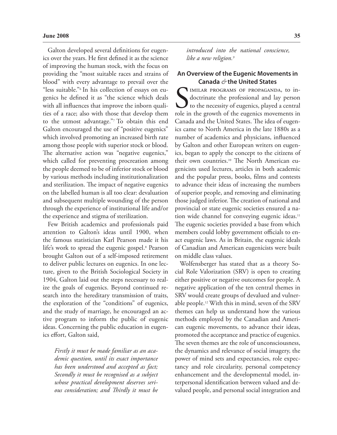Galton developed several definitions for eugenics over the years. He first defined it as the science of improving the human stock, with the focus on providing the "most suitable races and strains of blood" with every advantage to prevail over the "less suitable."6 In his collection of essays on eugenics he defined it as "the science which deals with all influences that improve the inborn qualities of a race; also with those that develop them to the utmost advantage."7 To obtain this end Galton encouraged the use of "positive eugenics" which involved promoting an increased birth rate among those people with superior stock or blood. The alternative action was "negative eugenics," which called for preventing procreation among the people deemed to be of inferior stock or blood by various methods including institutionalization and sterilization. The impact of negative eugenics on the labelled human is all too clear: devaluation and subsequent multiple wounding of the person through the experience of institutional life and/or the experience and stigma of sterilization.

Few British academics and professionals paid attention to Galton's ideas until 1900, when the famous statistician Karl Pearson made it his life's work to spread the eugenic gospel.<sup>8</sup> Pearson brought Galton out of a self-imposed retirement to deliver public lectures on eugenics. In one lecture, given to the British Sociological Society in 1904, Galton laid out the steps necessary to realize the goals of eugenics. Beyond continued research into the hereditary transmission of traits, the exploration of the "conditions" of eugenics, and the study of marriage, he encouraged an active program to inform the public of eugenic ideas. Concerning the public education in eugenics effort, Galton said,

*Firstly it must be made familiar as an academic question, until its exact importance has been understood and accepted as fact; Secondly it must be recognised as a subject whose practical development deserves serious consideration; and Thirdly it must be*  *introduced into the national conscience, like a new religion.9*

#### **An Overview of the Eugenic Movements in Canada** *&* **the United States**

S<sub>role in</sub> IMILAR PROGRAMS OF PROPAGANDA, to indoctrinate the professional and lay person to the necessity of eugenics, played a central role in the growth of the eugenics movements in Canada and the United States. The idea of eugenics came to North America in the late 1880s as a number of academics and physicians, influenced by Galton and other European writers on eugenics, began to apply the concept to the citizens of their own countries.<sup>10</sup> The North American eugenicists used lectures, articles in both academic and the popular press, books, films and contests to advance their ideas of increasing the numbers of superior people, and removing and eliminating those judged inferior. The creation of national and provincial or state eugenic societies ensured a nation wide channel for conveying eugenic ideas.<sup>11</sup> The eugenic societies provided a base from which members could lobby government officials to enact eugenic laws. As in Britain, the eugenic ideals of Canadian and American eugenicists were built on middle class values.

Wolfensberger has stated that as a theory Social Role Valorization (SRV) is open to creating either positive or negative outcomes for people. A negative application of the ten central themes in SRV would create groups of devalued and vulnerable people.12 With this in mind, seven of the SRV themes can help us understand how the various methods employed by the Canadian and American eugenic movements, to advance their ideas, promoted the acceptance and practice of eugenics. The seven themes are the role of unconsciousness, the dynamics and relevance of social imagery, the power of mind sets and expectancies, role expectancy and role circularity, personal competency enhancement and the developmental model, interpersonal identification between valued and devalued people, and personal social integration and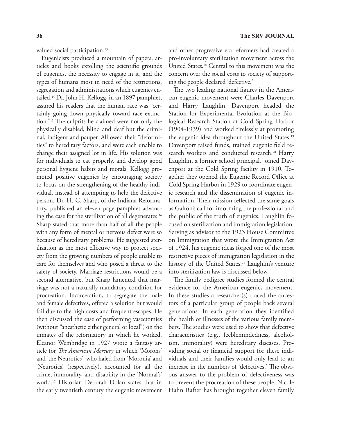valued social participation.<sup>13</sup>

Eugenicists produced a mountain of papers, articles and books extolling the scientific grounds of eugenics, the necessity to engage in it, and the types of humans most in need of the restrictions, segregation and administrations which eugenics entailed.14 Dr. John H. Kellogg, in an 1897 pamphlet, assured his readers that the human race was "certainly going down physically toward race extinction."15 The culprits he claimed were not only the physically disabled, blind and deaf but the criminal, indigent and pauper. All owed their "deformities" to hereditary factors, and were each unable to change their assigned lot in life. His solution was for individuals to eat properly, and develop good personal hygiene habits and morals. Kellogg promoted positive eugenics by encouraging society to focus on the strengthening of the healthy individual, instead of attempting to help the defective person. Dr. H. C. Sharp, of the Indiana Reformatory, published an eleven page pamphlet advancing the case for the sterilization of all degenerates.<sup>16</sup> Sharp stated that more than half of all the people with any form of mental or nervous defect were so because of hereditary problems. He suggested sterilization as the most effective way to protect society from the growing numbers of people unable to care for themselves and who posed a threat to the safety of society. Marriage restrictions would be a second alternative, but Sharp lamented that marriage was not a naturally mandatory condition for procreation. Incarceration, to segregate the male and female defectives, offered a solution but would fail due to the high costs and frequent escapes. He then discussed the ease of performing vasectomies (without "anesthetic either general or local") on the inmates of the reformatory in which he worked. Eleanor Wembridge in 1927 wrote a fantasy article for *The American Mercury* in which 'Morons' and 'the Neurotics', who haled from 'Moronia' and 'Neurotica' (respectively), accounted for all the crime, immorality, and disability in the 'Normal's' world.17 Historian Deborah Dolan states that in the early twentieth century the eugenic movement

and other progressive era reformers had created a pro-involuntary sterilization movement across the United States.18 Central to this movement was the concern over the social costs to society of supporting the people declared 'defective.'

The two leading national figures in the American eugenic movement were Charles Davenport and Harry Laughlin. Davenport headed the Station for Experimental Evolution at the Biological Research Station at Cold Spring Harbor (1904-1939) and worked tirelessly at promoting the eugenic idea throughout the United States.19 Davenport raised funds, trained eugenic field research workers and conducted research.<sup>20</sup> Harry Laughlin, a former school principal, joined Davenport at the Cold Spring facility in 1910. Together they opened the Eugenic Record Office at Cold Spring Harbor in 1929 to coordinate eugenic research and the dissemination of eugenic information. Their mission reflected the same goals as Galton's call for informing the professional and the public of the truth of eugenics. Laughlin focused on sterilization and immigration legislation. Serving as advisor to the 1923 House Committee on Immigration that wrote the Immigration Act of 1924, his eugenic ideas forged one of the most restrictive pieces of immigration legislation in the history of the United States.<sup>21</sup> Laughlin's venture into sterilization law is discussed below.

The family pedigree studies formed the central evidence for the American eugenics movement. In these studies a researcher(s) traced the ancestors of a particular group of people back several generations. In each generation they identified the health or illnesses of the various family members. The studies were used to show that defective characteristics (e.g., feeblemindedness, alcoholism, immorality) were hereditary diseases. Providing social or financial support for these individuals and their families would only lead to an increase in the numbers of 'defectives.' The obvious answer to the problem of defectiveness was to prevent the procreation of these people. Nicole Hahn Rafter has brought together eleven family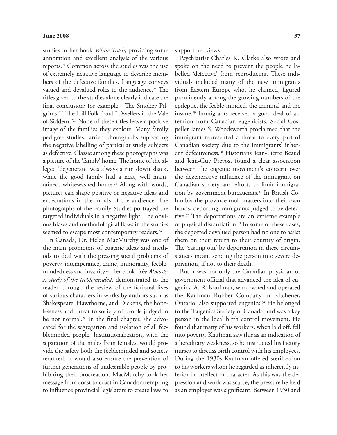studies in her book *White Trash*, providing some annotation and excellent analysis of the various reports.22 Common across the studies was the use of extremely negative language to describe members of the defective families. Language conveys valued and devalued roles to the audience.<sup>23</sup> The titles given to the studies alone clearly indicate the final conclusion; for example, "The Smokey Pilgrims," "The Hill Folk," and "Dwellers in the Vale of Siddem."24 None of these titles leave a positive image of the families they explore. Many family pedigree studies carried photographs supporting the negative labelling of particular study subjects as defective. Classic among these photographs was a picture of the 'family' home. The home of the alleged 'degenerate' was always a run down shack, while the good family had a neat, well maintained, whitewashed home.<sup>25</sup> Along with words, pictures can shape positive or negative ideas and expectations in the minds of the audience. The photographs of the Family Studies portrayed the targeted individuals in a negative light. The obvious biases and methodological flaws in the studies seemed to escape most contemporary readers.<sup>26</sup>

In Canada, Dr. Helen MacMurchy was one of the main promoters of eugenic ideas and methods to deal with the pressing social problems of poverty, intemperance, crime, immorality, feeblemindedness and insanity.27 Her book, *The Almosts: A study of the feebleminded*, demonstrated to the reader, through the review of the fictional lives of various characters in works by authors such as Shakespeare, Hawthorne, and Dickens, the hopelessness and threat to society of people judged to be not normal.<sup>28</sup> In the final chapter, she advocated for the segregation and isolation of all feebleminded people. Institutionalization, with the separation of the males from females, would provide the safety both the feebleminded and society required. It would also ensure the prevention of further generations of undesirable people by prohibiting their procreation. MacMurchy took her message from coast to coast in Canada attempting to influence provincial legislators to create laws to

support her views.

Psychiatrist Charles K. Clarke also wrote and spoke on the need to prevent the people he labelled 'defective' from reproducing. These individuals included many of the new immigrants from Eastern Europe who, he claimed, figured prominently among the growing numbers of the epileptic, the feeble-minded, the criminal and the insane.29 Immigrants received a good deal of attention from Canadian eugenicists. Social Gospeller James S. Woodsworth proclaimed that the immigrant represented a threat to every part of Canadian society due to the immigrants' inherent defectiveness.30 Historians Jean-Pierre Beaud and Jean-Guy Prevost found a clear association between the eugenic movement's concern over the degenerative influence of the immigrant on Canadian society and efforts to limit immigration by government bureaucrats.31 In British Columbia the province took matters into their own hands, deporting immigrants judged to be defective.32 The deportations are an extreme example of physical distantiation.33 In some of these cases, the deported devalued person had no one to assist them on their return to their country of origin. The 'casting out' by deportation in these circumstances meant sending the person into severe deprivation, if not to their death.

But it was not only the Canadian physician or government official that advanced the idea of eugenics. A. R. Kaufman, who owned and operated the Kaufman Rubber Company in Kitchener, Ontario, also supported eugenics.<sup>34</sup> He belonged to the 'Eugenics Society of Canada' and was a key person in the local birth control movement. He found that many of his workers, when laid off, fell into poverty. Kaufman saw this as an indication of a hereditary weakness, so he instructed his factory nurses to discuss birth control with his employees. During the 1930s Kaufman offered sterilization to his workers whom he regarded as inherently inferior in intellect or character. As this was the depression and work was scarce, the pressure he held as an employer was significant. Between 1930 and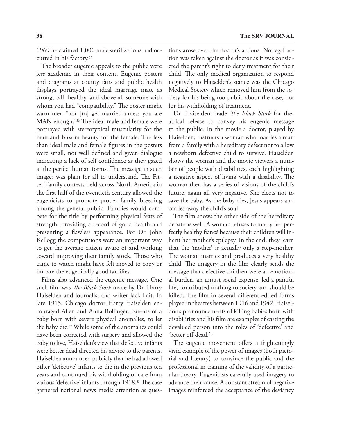1969 he claimed 1,000 male sterilizations had occurred in his factory.35

The broader eugenic appeals to the public were less academic in their content. Eugenic posters and diagrams at county fairs and public health displays portrayed the ideal marriage mate as strong, tall, healthy, and above all someone with whom you had "compatibility." The poster might warn men "not [to] get married unless you are MAN enough."36 The ideal male and female were portrayed with stereotypical muscularity for the man and buxom beauty for the female. The less than ideal male and female figures in the posters were small, not well defined and given dialogue indicating a lack of self confidence as they gazed at the perfect human forms. The message in such images was plain for all to understand. The Fitter Family contests held across North America in the first half of the twentieth century allowed the eugenicists to promote proper family breeding among the general public. Families would compete for the title by performing physical feats of strength, providing a record of good health and presenting a flawless appearance. For Dr. John Kellogg the competitions were an important way to get the average citizen aware of and working toward improving their family stock. Those who came to watch might have felt moved to copy or imitate the eugenically good families.

Films also advanced the eugenic message. One such film was *The Black Stork* made by Dr. Harry Haiselden and journalist and writer Jack Lait. In late 1915, Chicago doctor Harry Haiselden encouraged Allen and Anna Bollinger, parents of a baby born with severe physical anomalies, to let the baby die.37 While some of the anomalies could have been corrected with surgery and allowed the baby to live, Haiselden's view that defective infants were better dead directed his advice to the parents. Haiselden announced publicly that he had allowed other 'defective' infants to die in the previous ten years and continued his withholding of care from various 'defective' infants through 1918.38 The case garnered national news media attention as questions arose over the doctor's actions. No legal action was taken against the doctor as it was considered the parent's right to deny treatment for their child. The only medical organization to respond negatively to Haiselden's stance was the Chicago Medical Society which removed him from the society for his being too public about the case, not for his withholding of treatment.

Dr. Haiselden made *The Black Stork* for theatrical release to convey his eugenic message to the public. In the movie a doctor, played by Haiselden, instructs a woman who marries a man from a family with a hereditary defect not to allow a newborn defective child to survive. Haiselden shows the woman and the movie viewers a number of people with disabilities, each highlighting a negative aspect of living with a disability. The woman then has a series of visions of the child's future, again all very negative. She elects not to save the baby. As the baby dies, Jesus appears and carries away the child's soul.

The film shows the other side of the hereditary debate as well. A woman refuses to marry her perfectly healthy fiancé because their children will inherit her mother's epilepsy. In the end, they learn that the 'mother' is actually only a step-mother. The woman marries and produces a very healthy child. The imagery in the film clearly sends the message that defective children were an emotional burden, an unjust social expense, led a painful life, contributed nothing to society and should be killed. The film in several different edited forms played in theatres between 1916 and 1942. Haiseldon's pronouncements of killing babies born with disabilities and his film are examples of casting the devalued person into the roles of 'defective' and 'better off dead.'39

The eugenic movement offers a frighteningly vivid example of the power of images (both pictorial and literary) to convince the public and the professional in training of the validity of a particular theory. Eugenicists carefully used imagery to advance their cause. A constant stream of negative images reinforced the acceptance of the deviancy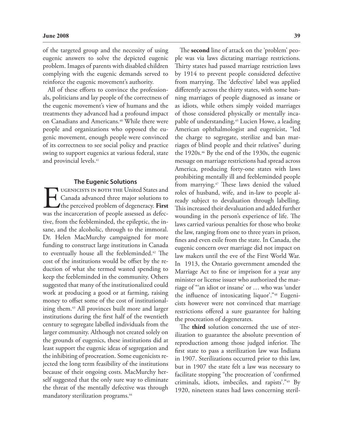of the targeted group and the necessity of using eugenic answers to solve the depicted eugenic problem. Images of parents with disabled children complying with the eugenic demands served to reinforce the eugenic movement's authority.

All of these efforts to convince the professionals, politicians and lay people of the correctness of the eugenic movement's view of humans and the treatments they advanced had a profound impact on Canadians and Americans.<sup>40</sup> While there were people and organizations who opposed the eugenic movement, enough people were convinced of its correctness to see social policy and practice swing to support eugenics at various federal, state and provincial levels.<sup>41</sup>

#### **The Eugenic Solutions**

UGENICISTS IN BOTH THE United States and<br>Canada advanced three major solutions to<br>the perceived problem of degeneracy. First<br>was the incarceration of people assessed as defec-Canada advanced three major solutions to the perceived problem of degeneracy. **First** was the incarceration of people assessed as defective, from the feebleminded, the epileptic, the insane, and the alcoholic, through to the immoral. Dr. Helen MacMurchy campaigned for more funding to construct large institutions in Canada to eventually house all the feebleminded.<sup>42</sup> The cost of the institutions would be offset by the reduction of what she termed wasted spending to keep the feebleminded in the community. Others suggested that many of the institutionalized could work at producing a good or at farming, raising money to offset some of the cost of institutionalizing them.<sup>43</sup> All provinces built more and larger institutions during the first half of the twentieth century to segregate labelled individuals from the larger community. Although not created solely on the grounds of eugenics, these institutions did at least support the eugenic ideas of segregation and the inhibiting of procreation. Some eugenicists rejected the long term feasibility of the institutions because of their ongoing costs. MacMurchy herself suggested that the only sure way to eliminate the threat of the mentally defective was through mandatory sterilization programs.<sup>44</sup>

The **second** line of attack on the 'problem' people was via laws dictating marriage restrictions. Thirty states had passed marriage restriction laws by 1914 to prevent people considered defective from marrying. The 'defective' label was applied differently across the thirty states, with some banning marriages of people diagnosed as insane or as idiots, while others simply voided marriages of those considered physically or mentally incapable of understanding.45 Lucien Howe, a leading American ophthalmologist and eugenicist, "led the charge to segregate, sterilize and ban marriages of blind people and their relatives" during the 1920s.46 By the end of the 1930s, the eugenic message on marriage restrictions had spread across America, producing forty-one states with laws prohibiting mentally ill and feebleminded people from marrying.47 These laws denied the valued roles of husband, wife, and in-law to people already subject to devaluation through labelling. This increased their devaluation and added further wounding in the person's experience of life. The laws carried various penalties for those who broke the law, ranging from one to three years in prison, fines and even exile from the state. In Canada, the eugenic concern over marriage did not impact on law makers until the eve of the First World War. In 1913, the Ontario government amended the Marriage Act to fine or imprison for a year any minister or license issuer who authorized the marriage of "'an idiot or insane' or … who was 'under the influence of intoxicating liquor'."48 Eugenicists however were not convinced that marriage restrictions offered a sure guarantee for halting the procreation of degenerates.

The **third** solution concerned the use of sterilization to guarantee the absolute prevention of reproduction among those judged inferior. The first state to pass a sterilization law was Indiana in 1907. Sterilizations occurred prior to this law, but in 1907 the state felt a law was necessary to facilitate stopping "the procreation of 'confirmed criminals, idiots, imbeciles, and rapists'."49 By 1920, nineteen states had laws concerning steril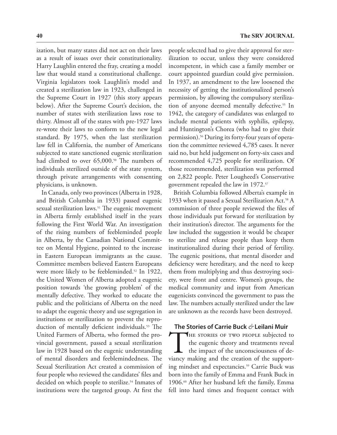ization, but many states did not act on their laws as a result of issues over their constitutionality. Harry Laughlin entered the fray, creating a model law that would stand a constitutional challenge. Virginia legislators took Laughlin's model and created a sterilization law in 1923, challenged in the Supreme Court in 1927 (this story appears below). After the Supreme Court's decision, the number of states with sterilization laws rose to thirty. Almost all of the states with pre-1927 laws re-wrote their laws to conform to the new legal standard. By 1975, when the last sterilization law fell in California, the number of Americans subjected to state sanctioned eugenic sterilization had climbed to over 65,000.<sup>50</sup> The numbers of individuals sterilized outside of the state system, through private arrangements with consenting physicians, is unknown.

In Canada, only two provinces (Alberta in 1928, and British Columbia in 1933) passed eugenic sexual sterilization laws.<sup>51</sup> The eugenic movement in Alberta firmly established itself in the years following the First World War. An investigation of the rising numbers of feebleminded people in Alberta, by the Canadian National Committee on Mental Hygiene, pointed to the increase in Eastern European immigrants as the cause. Committee members believed Eastern Europeans were more likely to be feebleminded.<sup>52</sup> In 1922, the United Women of Alberta adopted a eugenic position towards 'the growing problem' of the mentally defective. They worked to educate the public and the politicians of Alberta on the need to adapt the eugenic theory and use segregation in institutions or sterilization to prevent the reproduction of mentally deficient individuals.<sup>53</sup> The United Farmers of Alberta, who formed the provincial government, passed a sexual sterilization law in 1928 based on the eugenic understanding of mental disorders and feeblemindedness. The Sexual Sterilization Act created a commission of four people who reviewed the candidates' files and decided on which people to sterilize.<sup>54</sup> Inmates of institutions were the targeted group. At first the

people selected had to give their approval for sterilization to occur, unless they were considered incompetent, in which case a family member or court appointed guardian could give permission. In 1937, an amendment to the law loosened the necessity of getting the institutionalized person's permission, by allowing the compulsory sterilization of anyone deemed mentally defective.<sup>55</sup> In 1942, the category of candidates was enlarged to include mental patients with syphilis, epilepsy, and Huntington's Chorea (who had to give their permission).56 During its forty-four years of operation the committee reviewed 4,785 cases. It never said no, but held judgement on forty-six cases and recommended 4,725 people for sterilization. Of those recommended, sterilization was performed on 2,822 people. Peter Lougheed's Conservative government repealed the law in 1972.57

British Columbia followed Alberta's example in 1933 when it passed a Sexual Sterilization Act.<sup>58</sup> A commission of three people reviewed the files of those individuals put forward for sterilization by their institution's director. The arguments for the law included the suggestion it would be cheaper to sterilize and release people than keep them institutionalized during their period of fertility. The eugenic positions, that mental disorder and deficiency were hereditary, and the need to keep them from multiplying and thus destroying society, were front and centre. Women's groups, the medical community and input from American eugenicists convinced the government to pass the law. The numbers actually sterilized under the law are unknown as the records have been destroyed.

#### **The Stories of Carrie Buck** *&* **Leilani Muir**

THE STORIES OF TWO PEOPLE subjected to the eugenic theory and treatments reveal the impact of the unconsciousness of deviancy making and the creation of the supporting mindset and expectancies.<sup>59</sup> Carrie Buck was born into the family of Emma and Frank Buck in 1906.60 After her husband left the family, Emma fell into hard times and frequent contact with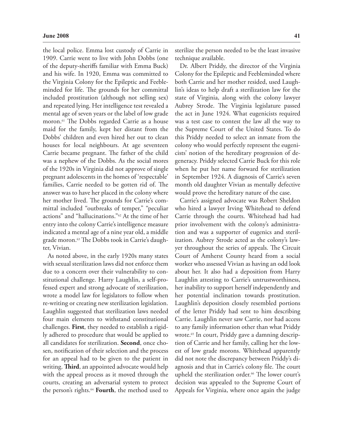the local police. Emma lost custody of Carrie in 1909. Carrie went to live with John Dobbs (one of the deputy-sheriffs familiar with Emma Buck) and his wife. In 1920, Emma was committed to the Virginia Colony for the Epileptic and Feebleminded for life. The grounds for her committal included prostitution (although not selling sex) and repeated lying. Her intelligence test revealed a mental age of seven years or the label of low grade moron.61 The Dobbs regarded Carrie as a house maid for the family, kept her distant from the Dobbs' children and even hired her out to clean houses for local neighbours. At age seventeen Carrie became pregnant. The father of the child was a nephew of the Dobbs. As the social mores of the 1920s in Virginia did not approve of single pregnant adolescents in the homes of 'respectable' families, Carrie needed to be gotten rid of. The answer was to have her placed in the colony where her mother lived. The grounds for Carrie's committal included "outbreaks of temper," "peculiar actions" and "hallucinations."62 At the time of her entry into the colony Carrie's intelligence measure indicated a mental age of a nine year old, a middle grade moron.63 The Dobbs took in Carrie's daughter, Vivian.

As noted above, in the early 1920s many states with sexual sterilization laws did not enforce them due to a concern over their vulnerability to constitutional challenge. Harry Laughlin, a self-professed expert and strong advocate of sterilization, wrote a model law for legislators to follow when re-writing or creating new sterilization legislation. Laughlin suggested that sterilization laws needed four main elements to withstand constitutional challenges. **First**, they needed to establish a rigidly adhered to procedure that would be applied to all candidates for sterilization. **Second**, once chosen, notification of their selection and the process for an appeal had to be given to the patient in writing. **Third**, an appointed advocate would help with the appeal process as it moved through the courts, creating an adversarial system to protect the person's rights.64 **Fourth**, the method used to sterilize the person needed to be the least invasive technique available.

Dr. Albert Priddy, the director of the Virginia Colony for the Epileptic and Feebleminded where both Carrie and her mother resided, used Laughlin's ideas to help draft a sterilization law for the state of Virginia, along with the colony lawyer Aubrey Strode. The Virginia legislature passed the act in June 1924. What eugenicists required was a test case to contest the law all the way to the Supreme Court of the United States. To do this Priddy needed to select an inmate from the colony who would perfectly represent the eugenicists' notion of the hereditary progression of degeneracy. Priddy selected Carrie Buck for this role when he put her name forward for sterilization in September 1924. A diagnosis of Carrie's seven month old daughter Vivian as mentally defective would prove the hereditary nature of the case.

Carrie's assigned advocate was Robert Sheldon who hired a lawyer Irving Whitehead to defend Carrie through the courts. Whitehead had had prior involvement with the colony's administration and was a supporter of eugenics and sterilization. Aubrey Strode acted as the colony's lawyer throughout the series of appeals. The Circuit Court of Amherst County heard from a social worker who assessed Vivian as having an odd look about her. It also had a deposition from Harry Laughlin attesting to Carrie's untrustworthiness, her inability to support herself independently and her potential inclination towards prostitution. Laughlin's deposition closely resembled portions of the letter Priddy had sent to him describing Carrie. Laughlin never saw Carrie, nor had access to any family information other than what Priddy wrote.<sup>65</sup> In court, Priddy gave a damning description of Carrie and her family, calling her the lowest of low grade morons. Whitehead apparently did not note the discrepancy between Priddy's diagnosis and that in Carrie's colony file. The court upheld the sterilization order.<sup>66</sup> The lower court's decision was appealed to the Supreme Court of Appeals for Virginia, where once again the judge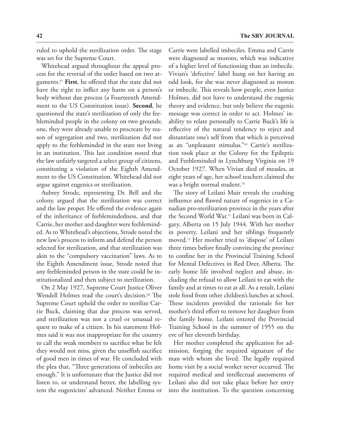ruled to uphold the sterilization order. The stage was set for the Supreme Court.

Whitehead argued throughout the appeal process for the reversal of the order based on two arguments.67 **First**, he offered that the state did not have the right to inflict any harm on a person's body without due process (a Fourteenth Amendment to the US Constitution issue). **Second**, he questioned the state's sterilization of only the feebleminded people in the colony on two grounds; one, they were already unable to procreate by reason of segregation and two, sterilization did not apply to the feebleminded in the state not living in an institution. This last condition noted that the law unfairly targeted a select group of citizens, constituting a violation of the Eighth Amendment to the US Constitution. Whitehead did not argue against eugenics or sterilization.

Aubrey Strode, representing Dr. Bell and the colony, argued that the sterilization was correct and the law proper. He offered the evidence again of the inheritance of feeblemindedness, and that Carrie, her mother and daughter were feebleminded. As to Whitehead's objections, Strode noted the new law's process to inform and defend the person selected for sterilization, and that sterilization was akin to the "compulsory vaccination" laws. As to the Eighth Amendment issue, Strode noted that any feebleminded person in the state could be institutionalized and then subject to sterilization.

On 2 May 1927, Supreme Court Justice Oliver Wendell Holmes read the court's decision.<sup>68</sup> The Supreme Court upheld the order to sterilize Carrie Buck, claiming that due process was served, and sterilization was not a cruel or unusual request to make of a citizen. In his statement Holmes said it was not inappropriate for the country to call the weak members to sacrifice what he felt they would not miss, given the unselfish sacrifice of good men in times of war. He concluded with the plea that, "Three generations of imbeciles are enough." It is unfortunate that the Justice did not listen to, or understand better, the labelling system the eugenicists' advanced. Neither Emma or

Carrie were labelled imbeciles. Emma and Carrie were diagnosed as morons, which was indicative of a higher level of functioning than an imbecile. Vivian's 'defective' label hung on her having an odd look, for she was never diagnosed as moron or imbecile. This reveals how people, even Justice Holmes, did not have to understand the eugenic theory and evidence, but only believe the eugenic message was correct in order to act. Holmes' inability to relate personally to Carrie Buck's life is reflective of the natural tendency to reject and distantiate one's self from that which is perceived as an "unpleasant stimulus."69 Carrie's sterilization took place at the Colony for the Epileptic and Feebleminded in Lynchburg Virginia on 19 October 1927. When Vivian died of measles, at eight years of age, her school teachers claimed she was a bright normal student.<sup>70</sup>

The story of Leilani Muir reveals the crushing influence and flawed nature of eugenics in a Canadian pro-sterilization province in the years after the Second World War.71 Leilani was born in Calgary, Alberta on 15 July 1944. With her mother in poverty, Leilani and her siblings frequently moved.72 Her mother tried to 'dispose' of Leilani three times before finally convincing the province to confine her in the Provincial Training School for Mental Defectives in Red Deer, Alberta. The early home life involved neglect and abuse, including the refusal to allow Leilani to eat with the family and at times to eat at all. As a result, Leilani stole food from other children's lunches at school. These incidents provided the rationale for her mother's third effort to remove her daughter from the family home. Leilani entered the Provincial Training School in the summer of 1955 on the eve of her eleventh birthday.

Her mother completed the application for admission, forging the required signature of the man with whom she lived. The legally required home visit by a social worker never occurred. The required medical and intellectual assessments of Leilani also did not take place before her entry into the institution. To the question concerning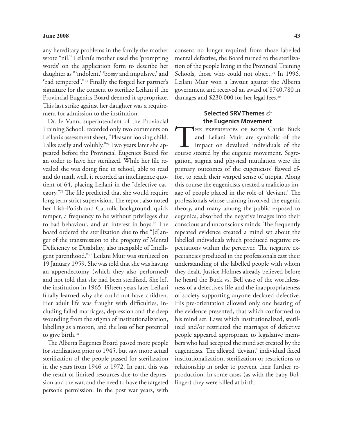any hereditary problems in the family the mother wrote "nil." Leilani's mother used the 'prompting words' on the application form to describe her daughter as "'indolent,' 'bossy and impulsive,' and 'bad tempered'."73 Finally she forged her partner's signature for the consent to sterilize Leilani if the Provincial Eugenics Board deemed it appropriate. This last strike against her daughter was a requirement for admission to the institution.

Dr. le Vann, superintendent of the Provincial Training School, recorded only two comments on Leilani's assessment sheet, "Pleasant looking child. Talks easily and volubly."74 Two years later she appeared before the Provincial Eugenics Board for an order to have her sterilized. While her file revealed she was doing fine in school, able to read and do math well, it recorded an intelligence quotient of 64, placing Leilani in the "defective category."75 The file predicted that she would require long term strict supervision. The report also noted her Irish-Polish and Catholic background, quick temper, a frequency to be without privileges due to bad behaviour, and an interest in boys.76 The board ordered the sterilization due to the "[d]anger of the transmission to the progeny of Mental Deficiency or Disability, also incapable of Intelligent parenthood."77 Leilani Muir was sterilized on 19 January 1959. She was told that she was having an appendectomy (which they also performed) and not told that she had been sterilized. She left the institution in 1965. Fifteen years later Leilani finally learned why she could not have children. Her adult life was fraught with difficulties, including failed marriages, depression and the deep wounding from the stigma of institutionalization, labelling as a moron, and the loss of her potential to give birth.78

The Alberta Eugenics Board passed more people for sterilization prior to 1945, but saw more actual sterilization of the people passed for sterilization in the years from 1946 to 1972. In part, this was the result of limited resources due to the depression and the war, and the need to have the targeted person's permission. In the post war years, with consent no longer required from those labelled mental defective, the Board turned to the sterilization of the people living in the Provincial Training Schools, those who could not object.<sup>79</sup> In 1996, Leilani Muir won a lawsuit against the Alberta government and received an award of \$740,780 in damages and \$230,000 for her legal fees.<sup>80</sup>

#### **Selected SRV Themes** *&* **the Eugenics Movement**

THE EXPERIENCES OF BOTH Carrie Buck and Leilani Muir are symbolic of the impact on devalued individuals of the course steered by the eugenic movement. Segregation, stigma and physical mutilation were the primary outcomes of the eugenicists' flawed effort to reach their warped sense of utopia. Along this course the eugenicists created a malicious image of people placed in the role of 'deviant.' The professionals whose training involved the eugenic theory, and many among the public exposed to eugenics, absorbed the negative images into their conscious and unconscious minds. The frequently repeated evidence created a mind set about the labelled individuals which produced negative expectations within the perceiver. The negative expectancies produced in the professionals cast their understanding of the labelled people with whom they dealt. Justice Holmes already believed before he heard the Buck vs. Bell case of the worthlessness of a defective's life and the inappropriateness of society supporting anyone declared defective. His pre-orientation allowed only one hearing of the evidence presented, that which conformed to his mind set. Laws which institutionalized, sterilized and/or restricted the marriages of defective people appeared appropriate to legislative members who had accepted the mind set created by the eugenicists. The alleged 'deviant' individual faced institutionalization, sterilization or restrictions to relationship in order to prevent their further reproduction. In some cases (as with the baby Bollinger) they were killed at birth.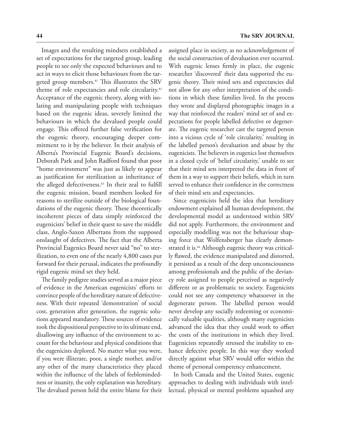Images and the resulting mindsets established a set of expectations for the targeted group, leading people to see only the expected behaviours and to act in ways to elicit those behaviours from the targeted group members.<sup>81</sup> This illustrates the SRV theme of role expectancies and role circularity.<sup>82</sup> Acceptance of the eugenic theory, along with isolating and manipulating people with techniques based on the eugenic ideas, severely limited the behaviours in which the devalued people could engage. This offered further false verification for the eugenic theory, encouraging deeper commitment to it by the believer. In their analysis of Alberta's Provincial Eugenic Board's decisions, Deborah Park and John Radford found that poor "home environment" was just as likely to appear as justification for sterilization as inheritance of the alleged defectiveness.<sup>83</sup> In their zeal to fulfill the eugenic mission, board members looked for reasons to sterilize outside of the biological foundations of the eugenic theory. These theoretically incoherent pieces of data simply reinforced the eugenicists' belief in their quest to save the middle class, Anglo-Saxon Albertans from the supposed onslaught of defectives. The fact that the Alberta Provincial Eugenics Board never said "no" to sterilization, to even one of the nearly 4,800 cases put forward for their perusal, indicates the profoundly rigid eugenic mind set they held.

The family pedigree studies served as a major piece of evidence in the American eugenicists' efforts to convince people of the hereditary nature of defectiveness. With their repeated 'demonstration' of social cost, generation after generation, the eugenic solutions appeared mandatory. These sources of evidence took the dispositional perspective to its ultimate end, disallowing any influence of the environment to account for the behaviour and physical conditions that the eugenicists deplored. No matter what you were, if you were illiterate, poor, a single mother, and/or any other of the many characteristics they placed within the influence of the labels of feeblemindedness or insanity, the only explanation was hereditary. The devalued person held the entire blame for their assigned place in society, as no acknowledgement of the social construction of devaluation ever occurred. With eugenic lenses firmly in place, the eugenic researcher 'discovered' their data supported the eugenic theory. Their mind sets and expectancies did not allow for any other interpretation of the conditions in which these families lived. In the process they wrote and displayed photographic images in a way that reinforced the readers' mind set of and expectations for people labelled defective or degenerate. The eugenic researcher cast the targeted person into a vicious cycle of 'role circularity,' resulting in the labelled person's devaluation and abuse by the eugenicists. The believers in eugenics lost themselves in a closed cycle of 'belief circularity,' unable to see that their mind sets interpreted the data in front of them in a way to support their beliefs, which in turn served to enhance their confidence in the correctness of their mind sets and expectancies.

Since eugenicists held the idea that hereditary endowment explained all human development, the developmental model as understood within SRV did not apply. Furthermore, the environment and especially modelling was not the behaviour shaping force that Wolfensberger has clearly demonstrated it is.<sup>84</sup> Although eugenic theory was critically flawed, the evidence manipulated and distorted, it persisted as a result of the deep unconsciousness among professionals and the public of the deviancy role assigned to people perceived as negatively different or as problematic to society. Eugenicists could not see any competency whatsoever in the degenerate person. The labelled person would never develop any socially redeeming or economically valuable qualities, although many eugenicists advanced the idea that they could work to offset the costs of the institutions in which they lived. Eugenicists repeatedly stressed the inability to enhance defective people. In this way they worked directly against what SRV would offer within the theme of personal competency enhancement.

In both Canada and the United States, eugenic approaches to dealing with individuals with intellectual, physical or mental problems squashed any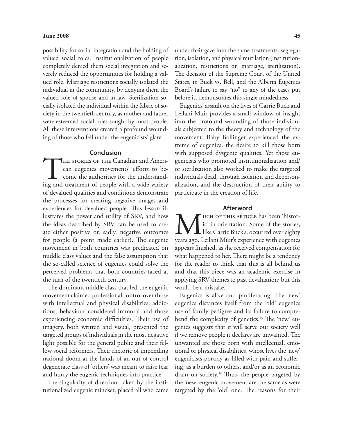possibility for social integration and the holding of valued social roles. Institutionalization of people completely denied them social integration and severely reduced the opportunities for holding a valued role. Marriage restrictions socially isolated the individual in the community, by denying them the valued role of spouse and in-law. Sterilization socially isolated the individual within the fabric of society in the twentieth century, as mother and father were esteemed social roles sought by most people. All these interventions created a profound wounding of those who fell under the eugenicists' glare.

#### **Conclusion**

THE STORIES OF THE Canadian and American eugenics movements' efforts to become the authorities for the understanding and treatment of people with a wide variety can eugenics movements' efforts to become the authorities for the understandof devalued qualities and conditions demonstrate the processes for creating negative images and experiences for devalued people. This lesson illustrates the power and utility of SRV, and how the ideas described by SRV can be used to create either positive or, sadly, negative outcomes for people (a point made earlier). The eugenic movement in both countries was predicated on middle class values and the false assumption that the so-called science of eugenics could solve the perceived problems that both countries faced at the turn of the twentieth century.

The dominant middle class that led the eugenic movement claimed professional control over those with intellectual and physical disabilities, addictions, behaviour considered immoral and those experiencing economic difficulties. Their use of imagery, both written and visual, presented the targeted groups of individuals in the most negative light possible for the general public and their fellow social reformers. Their rhetoric of impending national doom at the hands of an out-of-control degenerate class of 'others' was meant to raise fear and hurry the eugenic techniques into practice.

The singularity of direction, taken by the institutionalized eugenic mindset, placed all who came under their gaze into the same treatments: segregation, isolation, and physical mutilation (institutionalization, restrictions on marriage, sterilization). The decision of the Supreme Court of the United States, in Buck vs. Bell, and the Alberta Eugenics Board's failure to say "no" to any of the cases put before it, demonstrates this single mindedness.

Eugenics' assault on the lives of Carrie Buck and Leilani Muir provides a small window of insight into the profound wounding of those individuals subjected to the theory and technology of the movement. Baby Bollinger experienced the extreme of eugenics, the desire to kill those born with supposed dysgenic qualities. Yet those eugenicists who promoted institutionalization and/ or sterilization also worked to make the targeted individuals dead, through isolation and depersonalization, and the destruction of their ability to participate in the creation of life.

#### **Afterword**

WE UCH OF THIS ARTICLE has been 'histor-<br>ic' in orientation. Some of the stories,<br>like Carrie Buck's, occurred over eighty<br>years ago. Leilani Muir's experience with eugenics ic' in orientation. Some of the stories, like Carrie Buck's, occurred over eighty years ago. Leilani Muir's experience with eugenics appears finished, as she received compensation for what happened to her. There might be a tendency for the reader to think that this is all behind us and that this piece was an academic exercise in applying SRV themes to past devaluation; but this would be a mistake.

Eugenics is alive and proliferating. The 'new' eugenics distances itself from the 'old' eugenics use of family pedigree and its failure to comprehend the complexity of genetics.<sup>85</sup> The 'new' eugenics suggests that it will serve our society well if we remove people it declares are unwanted. The unwanted are those born with intellectual, emotional or physical disabilities, whose lives the 'new' eugenicists portray as filled with pain and suffering, as a burden to others, and/or as an economic drain on society.86 Thus, the people targeted by the 'new' eugenic movement are the same as were targeted by the 'old' one. The reasons for their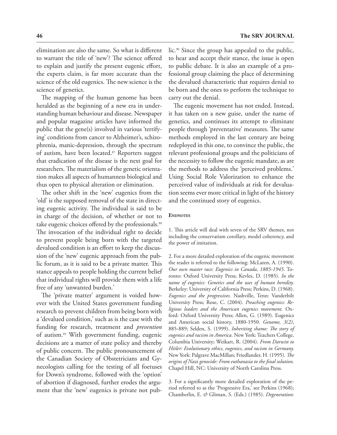elimination are also the same. So what is different to warrant the title of 'new'? The science offered to explain and justify the present eugenic effort, the experts claim, is far more accurate than the science of the old eugenics. The new science is the science of genetics.

The mapping of the human genome has been heralded as the beginning of a new era in understanding human behaviour and disease. Newspaper and popular magazine articles have informed the public that the gene(s) involved in various 'terrifying' conditions from cancer to Alzheimer's, schizophrenia, manic-depression, through the spectrum of autism, have been located.<sup>87</sup> Reporters suggest that eradication of the disease is the next goal for researchers. The materialism of the genetic orientation makes all aspects of humanness biological and thus open to physical alteration or elimination.

The other shift in the 'new' eugenics from the 'old' is the supposed removal of the state in directing eugenic activity. The individual is said to be in charge of the decision, of whether or not to take eugenic choices offered by the professionals.<sup>88</sup> The invocation of the individual right to decide to prevent people being born with the targeted devalued condition is an effort to keep the discussion of the 'new' eugenic approach from the public forum, as it is said to be a private matter. This stance appeals to people holding the current belief that individual rights will provide them with a life free of any 'unwanted burden.'

The 'private matter' argument is voided however with the United States government funding research to prevent children from being born with a 'devalued condition,' such as is the case with the funding for research, treatment and *prevention* of autism.89 With government funding, eugenic decisions are a matter of state policy and thereby of public concern. The public pronouncement of the Canadian Society of Obstetricians and Gynecologists calling for the testing of all foetuses for Down's syndrome, followed with the 'option' of abortion if diagnosed, further erodes the argument that the 'new' eugenics is private not public.90 Since the group has appealed to the public, to hear and accept their stance, the issue is open to public debate. It is also an example of a professional group claiming the place of determining the devalued characteristic that requires denial to be born and the ones to perform the technique to carry out the denial.

The eugenic movement has not ended. Instead, it has taken on a new guise, under the name of genetics, and continues its attempt to eliminate people through 'preventative' measures. The same methods employed in the last century are being redeployed in this one, to convince the public, the relevant professional groups and the politicians of the necessity to follow the eugenic mandate, as are the methods to address the 'perceived problems.' Using Social Role Valorization to enhance the perceived value of individuals at risk for devaluation seems ever more critical in light of the history and the continued story of eugenics.

#### **ENDNOTES**

1. This article will deal with seven of the SRV themes, not including the conservatism corollary, model coherency, and the power of imitation.

2. For a more detailed exploration of the eugenic movement the reader is referred to the following: McLaren, A. (1990). *Our own master race: Eugenics in Canada, 1885-1945*. Toronto: Oxford University Press; Kevles, D. (1985). *In the name of eugenics: Genetics and the uses of human heredity.*  Berkeley: University of California Press; Perkins, D. (1968). *Eugenics and the progressives.* Nashville, Tenn: Vanderbilt University Press; Rose, C. (2004). *Preaching eugenics: Religious leaders and the American eugenics movement.* Oxford: Oxford University Press; Allen, G. (1989). Eugenics and American social history, 1880-1950. *Genome, 3(2)*, 885-889; Selden, S. (1999). *Inheriting shame: The story of eugenics and racism in America*. New York: Teachers College, Columbia University; Weikart, R. (2004). *From Darwin to Hitler: Evolutionary ethics, eugenics, and racism in Germany.*  New York: Palgrave MacMillan; Friedlander, H. (1995). *The origins of Nazi genocide: From euthanasia to the final solution.*  Chapel Hill, NC: University of North Carolina Press.

3. For a significantly more detailed exploration of the period referred to as the 'Progressive Era,' see Perkins (1968); Chamberlin, E. *&* Gliman, S. (Eds.) (1985). *Degeneration*: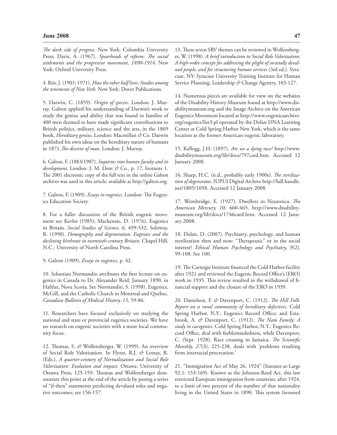#### **June 2008 47**

*The dark side of progress.* New York: Columbia University Press; Davis, A. (1967). *Spearheads of reform: The social settlements and the progressive movement, 1890-1914*. New York: Oxford University Press.

4. Riis, J. (1901; 1971). *How the other half lives: Studies among the tenements of New York.* New York: Dover Publications.

5. Darwin, C. (1859). *Origin of species*. London: J. Murray. Galton applied his understanding of Darwin's work to study the genius and ability that was found in families of 400 men deemed to have made significant contributions to British politics, military, science and the arts, in the 1869 book, *Hereditary genius*. London: Macmillan *&* Co. Darwin published his own ideas on the hereditary nature of humans in 1871,*The descent of man*. London: J. Murray.

6. Galton, F. (1883/1907). *Inquiries into human faculty and its development.* London: J. M. Dent *&* Co., p. 17, footnote 1. The 2001 electronic copy of the full text in the online Galton archives was used in this article; available at http://galton.org.

7. Galton, F. (1909). *Essays in eugenics*. London: The Eugenics Education Society.

8. For a fuller discussion of the British eugenic movement see Kevles (1985); Mackenzie, D. (1976). Eugenics in Britain. *Social Studies of Science, 6,* 499-532; Soloway, R. (1990). *Demography and degeneration: Eugenics and the declining birthrate in twentieth-century Britain*. Chapel Hill, N.C.: University of North Carolina Press.

9. Galton (1909), *Essays in eugenics*, p. 42.

10. Sebastian Normandin attributes the first lecture on eugenics in Canada to Dr. Alexander Reid, January 1890, in Halifax, Nova Scotia. See Normandin, S. (1998). Eugenics, McGill, and the Catholic Church in Montreal and Quebec. *Canadian Bulletin of Medical History, 15*, 59-86.

11. Researchers have focused exclusively on studying the national and state or provincial eugenics societies. We have no research on eugenic societies with a more local community focus.

12. Thomas, S. *&* Wolfensberger, W. (1999). An overview of Social Role Valorization. In Flynn, R.J. *&* Lemay, R. (Eds.), *A quarter-century of Normalization and Social Role Valorization: Evolution and impact.* Ottawa: University of Ottawa Press, 125-159. Thomas and Wolfensberger demonstrate this point at the end of the article by posing a series of "if-then" statements predicting devalued roles and negative outcomes; see 156-157.

13. These seven SRV themes can be reviewed in Wolfensberger, W. (1998). *A brief introduction to Social Role Valorization: A high-order concept for addressing the plight of societally devalued people, and for structuring human services* (3rd ed.). Syracuse, NY: Syracuse University Training Institute for Human Service Planning, Leadership *&* Change Agentry, 103-127.

14. Numerous pieces are available for view on the websites of the Disability History Museum found at http://www.disabilitymuseum.org and the Image Archive on the American Eugenics Movement located at http://www.eugenicsarchive. org/eugenics/list3.pl operated by the Dolan DNA Learning Center at Cold Spring Harbor New York, which is the same location as the former American eugenic laboratory.

15. Kellogg, J.H. (1897). *Are we a dying race?* http://www. disabilitymuseum.org/lib/docs/797card.htm. Accessed 12 January 2008.

16. Sharp, H.C. (n.d., probably early 1900s). *The sterilization of degenerates*. IUPUI Digital Archive http://hdl.handle. net/1805/1058. Accessed 12 January 2008.

17. Wembridge, E. (1927). Dwellers in Neurotica. *The American Mercury, 10*, 460-465. http://www.disabilitymuseum.org/lib/docs/1746card.htm. Accessed 12 January 2008.

18. Dolan, D. (2007). Psychiatry, psychology, and human sterilization then and now: "Therapeutic" or in the social interest? *Ethical Human Psychology and Psychiatry, 9(2)*, 99-108. See 100.

19. The Carnegie Institute financed the Cold Harbor facility after 1921 and reviewed the Eugenic Record Office's (ERO) work in 1935. This review resulted in the withdrawal of financial support and the closure of the ERO in 1939.

20. Danielson, F. *&* Davenport, C. (1912). *The Hill Folk: Report on a rural community of hereditary defectives*. Cold Spring Harbor, N.Y.: Eugenics Record Office; and Estabrook, A. *&* Davenport, C. (1912). *The Nam Family: A study in cacogenics.* Cold Spring Harbor, N.Y.: Eugenics Record Office, deal with feeblemindedness, while Davenport, C. (Sept. 1928). Race crossing in Jamaica. *The Scientific Monthly, 27(3)*, 225-238, deals with 'problems resulting from interracial procreation.'

21. "Immigration Act of May 26, 1924" (Statutes-at-Large 92.1: 153-169). Known as the Johnson-Reed Act, this law restricted European immigration from countries, after 1924, to a limit of two percent of the number of that nationality living in the United States in 1890. This system favoured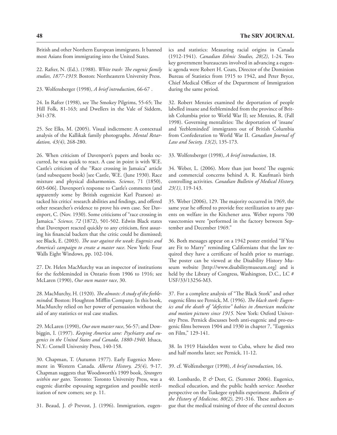British and other Northern European immigrants. It banned most Asians from immigrating into the United States.

22. Rafter, N. (Ed.). (1988). *White trash: The eugenic family studies, 1877-1919*. Boston: Northeastern University Press.

23. Wolfensberger (1998), *A brief introduction*, 66-67 .

24. In Rafter (1998), see The Smokey Pilgrims, 55-65; The Hill Folk, 81-163; and Dwellers in the Vale of Siddem, 341-378.

25. See Elks, M. (2005). Visual indictment: A contextual analysis of the Kallikak family photographs. *Mental Retardation, 43(4)*, 268-280.

26. When criticism of Davenport's papers and books occurred, he was quick to react. A case in point is with W.E. Castle's criticism of the "Race crossing in Jamaica" article (and subsequent book) [see Castle, W.E. (June 1930). Race mixture and physical disharmonies. *Science*, 71 (1850), 603-606]. Davenport's response to Castle's comments (and apparently some by British eugenicist Karl Pearson) attacked his critics' research abilities and findings, and offered other researcher's evidence to prove his own case. See Davenport, C. (Nov. 1930). Some criticisms of "race crossing in Jamaica." *Science, 72* (1872), 501-502. Edwin Black states that Davenport reacted quickly to any criticism, first assuring his financial backers that the critic could be dismissed; see Black, E. (2003). *The war against the weak: Eugenics and America's campaign to create a master race*. New York: Four Walls Eight Windows, pp. 102-104.

27. Dr. Helen MacMurchy was an inspector of institutions for the feebleminded in Ontario from 1906 to 1916; see McLaren (1990), *Our own master race*, 30.

28. MacMurchy, H. (1920). *The almosts: A study of the feebleminded.* Boston: Houghton Mifflin Company. In this book, MacMurchy relied on her power of persuasion without the aid of any statistics or real case studies.

29. McLaren (1990), *Our own master race*, 56-57; and Dowbiggin, I. (1997). *Keeping America sane: Psychiatry and eugenics in the United States and Canada, 1880-1940*. Ithaca, N.Y.: Cornell University Press, 140-158.

30. Chapman, T. (Autumn 1977). Early Eugenics Movement in Western Canada. *Alberta History, 25(4)*, 9-17. Chapman suggests that Woodsworth's 1909 book, *Strangers within our gates.* Toronto: Toronto University Press, was a eugenic diatribe espousing segregation and possible sterilization of new comers; see p. 11.

31. Beaud, J. *&* Prevost, J. (1996). Immigration, eugen-

ics and statistics: Measuring racial origins in Canada (1912-1941). *Canadian Ethnic Studies, 28(2)*, 1-24. Two key government bureaucrats involved in advancing a eugenic agenda were Robert H. Coats, Director of the Dominion Bureau of Statistics from 1915 to 1942, and Peter Bryce, Chief Medical Officer of the Department of Immigration during the same period.

32. Robert Menzies examined the deportation of people labelled insane and feebleminded from the province of British Columbia prior to World War II; see Menzies, R. (Fall 1998). Governing mentalities: The deportation of 'insane' and 'feebleminded' immigrants out of British Columbia from Confederation to World War II. *Canadian Journal of Law and Society, 13(2)*, 135-173.

33. Wolfensberger (1998), *A brief introduction*, 18.

34. Weber, L. (2006). More than just boots! The eugenic and commercial concerns behind A. R. Kaufman's birth controlling activities. *Canadian Bulletin of Medical History, 23(1)*, 119-143.

35. Weber (2006), 129. The majority occurred in 1969, the same year he offered to provide free sterilization to any parents on welfare in the Kitchener area. Weber reports 700 vasectomies were "performed in the factory between September and December 1969."

36. Both messages appear on a 1942 poster entitled "If You are Fit to Marry" reminding Californians that the law required they have a certificate of health prior to marriage. The poster can be viewed at the Disability History Museum website [http://www.disabilitymuseum.org] and is held by the Library of Congress, Washington, D.C., LC # USF/33/13256-M3.

37. For a complete analysis of "The Black Stork" and other eugenic films see Pernick, M. (1996). *The black stork: Eugenics and the death of "defective" babies in American medicine and motion pictures since 1915.* New York: Oxford University Press. Pernick discusses both anti-eugenic and pro-eugenic films between 1904 and 1930 in chapter 7, "Eugenics on Film," 129-141.

38. In 1919 Haiselden went to Cuba, where he died two and half months later; see Pernick, 11-12.

39. cf. Wolfensberger (1998), *A brief introduction*, 16.

40. Lombardo, P. *&* Dorr, G. (Summer 2006). Eugenics, medical education, and the public health service: Another perspective on the Tuskegee syphilis experiment. *Bulletin of the History of Medicine, 80(2)*, 291-316. These authors argue that the medical training of three of the central doctors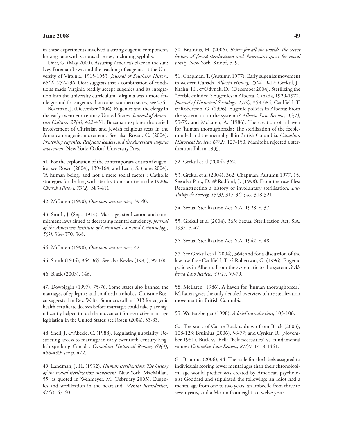in these experiments involved a strong eugenic component, linking race with various diseases, including syphilis.

Dorr, G. (May 2000). Assuring America's place in the sun: Ivey Foreman Lewis and the teaching of eugenics at the University of Virginia, 1915-1953. *Journal of Southern History, 66(2)*, 257-296. Dorr suggests that a combination of conditions made Virginia readily accept eugenics and its integration into the university curriculum. Virginia was a more fertile ground for eugenics than other southern states; see 275.

Bozeman, J. (December 2004). Eugenics and the clergy in the early twentieth century United States. *Journal of American Culture, 27(4)*, 422-431. Bozeman explores the varied involvement of Christian and Jewish religious sects in the American eugenic movement. See also Rosen, C. (2004). *Preaching eugenics: Religious leaders and the American eugenic movement.* New York: Oxford University Press.

41. For the exploration of the contemporary critics of eugenics, see Rosen (2004), 139-164; and Leon, S. (June 2004). "A human being, and not a mere social factor": Catholic strategies for dealing with sterilization statutes in the 1920s. *Church History, 73(2)*, 383-411.

42. McLaren (1990), *Our own master race,* 39-40.

43. Smith, J. (Sept. 1914). Marriage, sterilization and commitment laws aimed at decreasing mental deficiency. *Journal of the American Institute of Criminal Law and Criminology, 5(3)*, 364-370, 368.

44. McLaren (1990), *Our own master race*, 42.

45. Smith (1914), 364-365. See also Kevles (1985), 99-100.

46. Black (2003), 146.

47. Dowbiggin (1997), 75-76. Some states also banned the marriages of epileptics and confined alcoholics. Christine Rosen suggests that Rev. Walter Sumner's call in 1913 for eugenic health certificate decrees before marriages could take place significantly helped to fuel the movement for restrictive marriage legislation in the United States; see Rosen (2004), 53-83.

48. Snell, J. *&* Abeele, C. (1988). Regulating nuptiality: Restricting access to marriage in early twentieth-century English-speaking Canada. *Canadian Historical Review, 69(4)*, 466-489; see p. 472.

49. Landman, J. H. (1932). *Human sterilization: The history of the sexual sterilization movement.* New York: MacMillan, 55, as quoted in Wehmeyer, M. (February 2003). Eugenics and sterilization in the heartland. *Mental Retardation, 41(1*), 57-60.

50. Bruinius, H. (2006). *Better for all the world: The secret history of forced sterilization and American's quest for racial purity.* New York: Knopf, p. 9.

51. Chapman, T. (Autumn 1977). Early eugenics movement in western Canada. *Alberta History, 25(4)*, 9-17; Grekul, J., Krahn, H., *&* Odynak, D. (December 2004). Sterilizing the "Feeble-minded": Eugenics in Alberta, Canada, 1929-1972. *Journal of Historical Sociology, 17(4)*, 358-384; Caulfield, T. *&* Robertson, G. (1996). Eugenic policies in Alberta: From the systematic to the systemic? *Alberta Law Review, 35(1)*, 59-79; and McLaren, A. (1986). The creation of a haven for 'human thoroughbreds': The sterilization of the feebleminded and the mentally ill in British Columbia. *Canadian Historical Review, 67(2)*, 127-150. Manitoba rejected a sterilization Bill in 1933.

52. Grekul et al (2004), 362.

53. Grekul et al (2004), 362; Chapman, Autumn 1977, 15. See also Park, D. & Radford, J. (1998). From the case files: Reconstructing a history of involuntary sterilisation. *Disability & Society, 13(3)*, 317-342; see 318-321.

54. Sexual Sterilization Act, S.A. 1928, c. 37.

55. Grekul et al (2004), 363; Sexual Sterilization Act, S.A. 1937, c. 47.

56. Sexual Sterilization Act, S.A. 1942, c. 48.

57. See Grekul et al (2004), 364; and for a discussion of the law itself see Caulfield, T. *&* Robertson, G. (1996). Eugenic policies in Alberta: From the systematic to the systemic? *Alberta Law Review, 35(1)*, 59-79.

58. McLaren (1986), A haven for 'human thoroughbreds.' McLaren gives the only detailed overview of the sterilization movement in British Columbia.

59. Wolfensberger (1998), *A brief introduction*, 105-106.

60. The story of Carrie Buck is drawn from Black (2003), 108-123; Bruinius (2006), 58-77; and Cynkar, R. (November 1981). Buck vs. Bell: "Felt necessities" vs. fundamental values? *Columbia Law Review, 81(7)*, 1418-1461.

61. Bruinius (2006), 44. The scale for the labels assigned to individuals scoring lower mental ages than their chronological age would predict was created by American psychologist Goddard and stipulated the following: an Idiot had a mental age from one to two years, an Imbecile from three to seven years, and a Moron from eight to twelve years.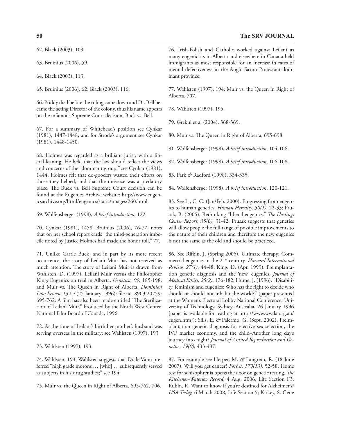62. Black (2003), 109.

63. Bruinius (2006), 59.

64. Black (2003), 113.

65. Bruinius (2006), 62; Black (2003), 116.

66. Priddy died before the ruling came down and Dr. Bell became the acting Director of the colony, thus his name appears on the infamous Supreme Court decision, Buck vs. Bell.

67. For a summary of Whitehead's position see Cynkar (1981), 1447-1448, and for Strode's argument see Cynkar (1981), 1448-1450.

68. Holmes was regarded as a brilliant jurist, with a liberal leaning. He held that the law should reflect the views and concerns of the "dominant group;" see Cynkar (1981), 1444. Holmes felt that do-gooders wasted their efforts on those they helped, and that the universe was a predatory place. The Buck vs. Bell Supreme Court decision can be found at the Eugenics Archive website: http://www.eugenicsarchive.org/html/eugenics/static/images/260.html

69. Wolfensberger (1998), *A brief introduction*, 122.

70. Cynkar (1981), 1458; Bruinius (2006), 76-77, notes that on her school report cards "the third-generation imbecile noted by Justice Holmes had made the honor roll," 77.

71. Unlike Carrie Buck, and in part by its more recent occurrence, the story of Leilani Muir has not received as much attention. The story of Leilani Muir is drawn from Wahlsten, D. (1997). Leilani Muir versus the Philosopher King: Eugenics on trial in Alberta. *Genetica, 99*, 185-198; and Muir vs. The Queen in Right of Alberta, *Dominion Law Review 132.4* (25 January 1996): file no. 8903 20759: 695-762. A film has also been made entitled "The Sterilization of Leilani Muir." Produced by the North West Center. National Film Board of Canada, 1996.

72. At the time of Leilani's birth her mother's husband was serving overseas in the military; see Wahlsten (1997), 193

73. Wahlsten (1997), 193.

74. Wahlsten, 193. Wahlsten suggests that Dr. le Vann preferred "high grade morons … [who] … subsequently served as subjects in his drug studies;" see 194.

75. Muir vs. the Queen in Right of Alberta, 695-762, 706.

76. Irish-Polish and Catholic worked against Leilani as many eugenicists in Alberta and elsewhere in Canada held immigrants as most responsible for an increase in rates of mental defectiveness in the Anglo-Saxon Protestant-dominant province.

77. Wahlsten (1997), 194; Muir vs. the Queen in Right of Alberta, 707.

78. Wahlsten (1997), 195.

79. Grekul et al (2004), 368-369.

80. Muir vs. The Queen in Right of Alberta, 695-698.

81. Wolfensberger (1998), *A brief introduction*, 104-106.

82. Wolfensberger (1998), *A brief introduction*, 106-108.

83. Park *&* Radford (1998), 334-335.

84. Wolfensberger (1998), *A brief introduction*, 120-121.

85. See Li, C. C. (Jan/Feb. 2000). Progressing from eugenics to human genetics. *Human Heredity, 50(1)*, 22-33; Prusak, B. (2005). Rethinking "liberal eugenics." *The Hastings Center Report, 35(6)*, 31-42. Prusak suggests that genetics will allow people the full range of possible improvements to the nature of their children and therefore the new eugenics is not the same as the old and should be practiced.

86. See Rifkin, J. (Spring 2005). Ultimate therapy: Commercial eugenics in the 21<sup>st</sup> century. *Harvard International Review, 27(1)*, 44-48; King, D. (Apr. 1999). Preimplantation genetic diagnosis and the 'new' eugenics. *Journal of Medical Ethics, 25(2)*, 176-182; Hume, J. (1996). "Disability, feminism and eugenics: Who has the right to decide who should or should not inhabit the world?" (paper presented at the Women's Electoral Lobby National Conference, University of Technology, Sydney, Australia, 26 January 1996 [paper is available for reading at http://www.wwda.org.au/ eugen.htm]); Sills, E. *&* Palermo, G. (Sept. 2002). Preimplantation genetic diagnosis for elective sex selection, the IVF market economy, and the child–Another long day's journey into night? *Journal of Assisted Reproduction and Genetics, 19(9)*, 433-437.

87. For example see Herper, M. *&* Langreth, R. (18 June 2007). Will you get cancer? *Forbes, 179(13)*, 52-58; Home test for schizophrenia opens the door on genetic testing. *The Kitchener-Waterloo Record,* 4 Aug. 2006, Life Section F3; Rubin, R. Want to know if you're destined for Alzheimer's? *USA Today,* 6 March 2008, Life Section 5; Kirkey, S. Gene